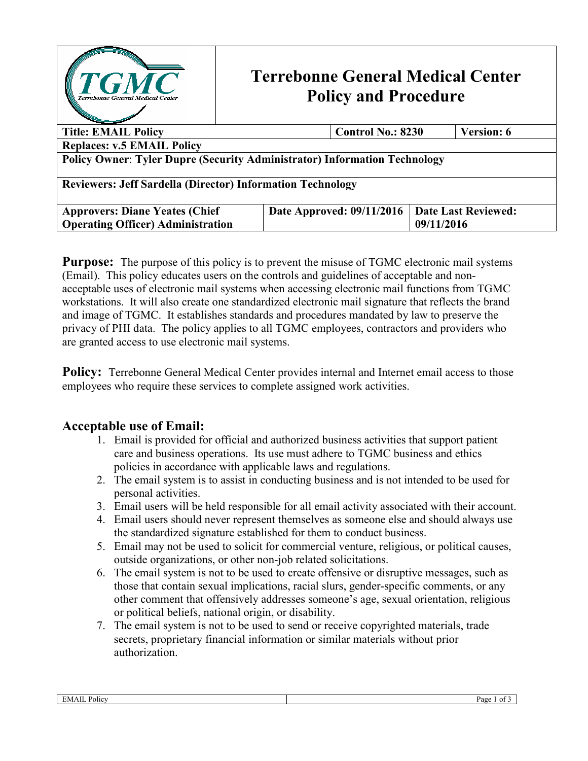

# **Terrebonne General Medical Center Policy and Procedure**

| <b>Title: EMAIL Policy</b>                                                       | <b>Control No.: 8230</b>  | <b>Version: 6</b>          |  |
|----------------------------------------------------------------------------------|---------------------------|----------------------------|--|
| <b>Replaces: v.5 EMAIL Policy</b>                                                |                           |                            |  |
| <b>Policy Owner: Tyler Dupre (Security Administrator) Information Technology</b> |                           |                            |  |
| <b>Reviewers: Jeff Sardella (Director) Information Technology</b>                |                           |                            |  |
| <b>Approvers: Diane Yeates (Chief)</b>                                           | Date Approved: 09/11/2016 | <b>Date Last Reviewed:</b> |  |
| <b>Operating Officer</b> ) Administration                                        |                           | 09/11/2016                 |  |

**Purpose:** The purpose of this policy is to prevent the misuse of TGMC electronic mail systems (Email). This policy educates users on the controls and guidelines of acceptable and nonacceptable uses of electronic mail systems when accessing electronic mail functions from TGMC workstations. It will also create one standardized electronic mail signature that reflects the brand and image of TGMC. It establishes standards and procedures mandated by law to preserve the privacy of PHI data. The policy applies to all TGMC employees, contractors and providers who are granted access to use electronic mail systems.

Policy: Terrebonne General Medical Center provides internal and Internet email access to those employees who require these services to complete assigned work activities.

### **Acceptable use of Email:**

- 1. Email is provided for official and authorized business activities that support patient care and business operations. Its use must adhere to TGMC business and ethics policies in accordance with applicable laws and regulations.
- 2. The email system is to assist in conducting business and is not intended to be used for personal activities.
- 3. Email users will be held responsible for all email activity associated with their account.
- 4. Email users should never represent themselves as someone else and should always use the standardized signature established for them to conduct business.
- 5. Email may not be used to solicit for commercial venture, religious, or political causes, outside organizations, or other non-job related solicitations.
- 6. The email system is not to be used to create offensive or disruptive messages, such as those that contain sexual implications, racial slurs, gender-specific comments, or any other comment that offensively addresses someone's age, sexual orientation, religious or political beliefs, national origin, or disability.
- 7. The email system is not to be used to send or receive copyrighted materials, trade secrets, proprietary financial information or similar materials without prior authorization.

| <b>Contract Contract</b><br>EMAI.<br>Policy | Page<br>$_{\rm ot}$ : |
|---------------------------------------------|-----------------------|
|                                             |                       |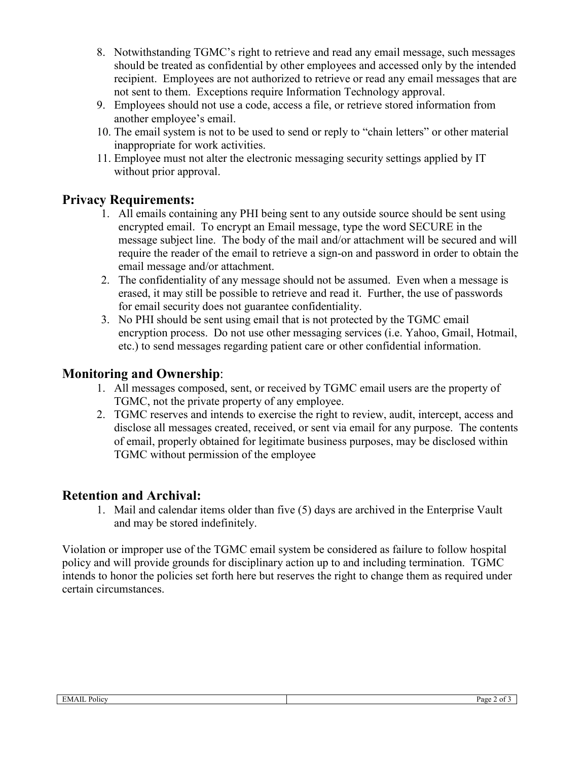- 8. Notwithstanding TGMC's right to retrieve and read any email message, such messages should be treated as confidential by other employees and accessed only by the intended recipient. Employees are not authorized to retrieve or read any email messages that are not sent to them. Exceptions require Information Technology approval.
- 9. Employees should not use a code, access a file, or retrieve stored information from another employee's email.
- 10. The email system is not to be used to send or reply to "chain letters" or other material inappropriate for work activities.
- 11. Employee must not alter the electronic messaging security settings applied by IT without prior approval.

# **Privacy Requirements:**

- 1. All emails containing any PHI being sent to any outside source should be sent using encrypted email. To encrypt an Email message, type the word SECURE in the message subject line. The body of the mail and/or attachment will be secured and will require the reader of the email to retrieve a sign-on and password in order to obtain the email message and/or attachment.
- 2. The confidentiality of any message should not be assumed. Even when a message is erased, it may still be possible to retrieve and read it. Further, the use of passwords for email security does not guarantee confidentiality.
- 3. No PHI should be sent using email that is not protected by the TGMC email encryption process. Do not use other messaging services (i.e. Yahoo, Gmail, Hotmail, etc.) to send messages regarding patient care or other confidential information.

# **Monitoring and Ownership**:

- 1. All messages composed, sent, or received by TGMC email users are the property of TGMC, not the private property of any employee.
- 2. TGMC reserves and intends to exercise the right to review, audit, intercept, access and disclose all messages created, received, or sent via email for any purpose. The contents of email, properly obtained for legitimate business purposes, may be disclosed within TGMC without permission of the employee

### **Retention and Archival:**

1. Mail and calendar items older than five (5) days are archived in the Enterprise Vault and may be stored indefinitely.

Violation or improper use of the TGMC email system be considered as failure to follow hospital policy and will provide grounds for disciplinary action up to and including termination. TGMC intends to honor the policies set forth here but reserves the right to change them as required under certain circumstances.